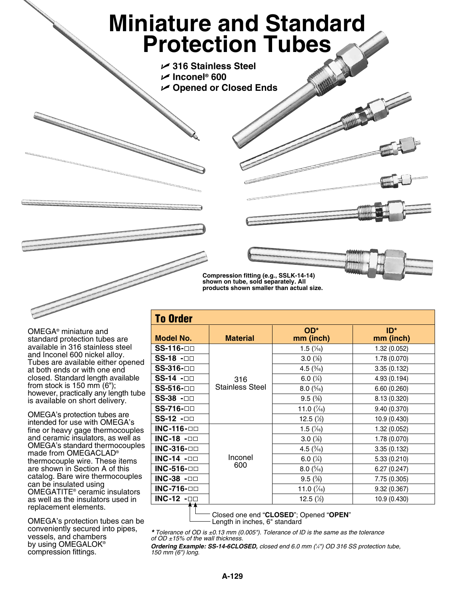## **Miniature and Standard Protection Tubes**

U **316 Stainless Steel**

U **Inconel® 600**

U **Opened or Closed Ends**

**Compression fitting (e.g., SSLK-14-14) shown on tube, sold separately. All products shown smaller than actual size.**

OMEGA® miniature and standard protection tubes are available in 316 stainless steel and Inconel 600 nickel alloy. Tubes are available either opened at both ends or with one end closed. Standard length available from stock is 150 mm (6"); however, practically any length tube is available on short delivery.

OMEGA's protection tubes are intended for use with OMEGA's fine or heavy gage thermocouples and ceramic insulators, as well as OMEGA's standard thermocouples made from OMEGACLAD® thermocouple wire. These items are shown in Section A of this catalog. Bare wire thermocouples can be insulated using OMEGATITE® ceramic insulators as well as the insulators used in replacement elements.

OMEGA's protection tubes can be conveniently secured into pipes, vessels, and chambers by using OMEGALOK® compression fittings.

| <b>Model No.</b>   | <b>Material</b>        | OD*<br>mm (inch)     | $ID^*$<br>mm (inch) |
|--------------------|------------------------|----------------------|---------------------|
| SS-116-□□          |                        | 1.5 $(\frac{1}{16})$ | 1.32 (0.052)        |
| $SS-18 - \Box$     |                        | $3.0(*)$             | 1.78 (0.070)        |
| <b>SS-316-</b> □□  |                        | 4.5 $(\frac{3}{16})$ | 3.35(0.132)         |
| SS-14 -□□          | 316                    | 6.0 $(\frac{1}{4})$  | 4.93 (0.194)        |
| SS-516- <b>□</b> □ | <b>Stainless Steel</b> | $8.0\,($ % $_6)$     | 6.60 (0.260)        |
| SS-38 -OD          |                        | $9.5\,(%)$           | 8.13 (0.320)        |
| SS-716-00          |                        | 11.0 $(\frac{7}{6})$ | 9.40 (0.370)        |
| $SS-12 - \Box$     |                        | 12.5 $(\frac{1}{2})$ | 10.9 (0.430)        |
| INC-116- $\Box$    |                        | 1.5 $(\frac{1}{16})$ | 1.32 (0.052)        |
| <b>INC-18 -OD</b>  |                        | $3.0\,(%)$           | 1.78 (0.070)        |
| <b>INC-316-</b> □□ |                        | 4.5 $(\frac{3}{16})$ | 3.35(0.132)         |
| INC-14 - $\Box$    | Inconel                | 6.0 $(\frac{1}{4})$  | 5.33(0.210)         |
| INC-516- $\Box$    | 600                    | $8.0\,(^5\!/_{6})$   | 6.27(0.247)         |
| INC-38 - $\square$ |                        | $9.5\,(%)$           | 7.75 (0.305)        |
| INC-716- $\Box$    |                        | 11.0 $(\frac{7}{6})$ | 9.32(0.367)         |
| INC-12 - $\square$ |                        | 12.5 $(\frac{1}{2})$ | 10.9 (0.430)        |

Closed one end "**CLOSED**"; Opened "**OPEN**" - Length in inches, 6" standard

*\* Tolerance of OD is ±0.13 mm (0.005"). Tolerance of ID is the same as the tolerance of OD ±15% of the wall thickness.* 

*Ordering Example: SS-14-6CLOSED, closed end 6.0 mm (1 ⁄4") OD 316 SS protection tube, 150 mm (6") long.*